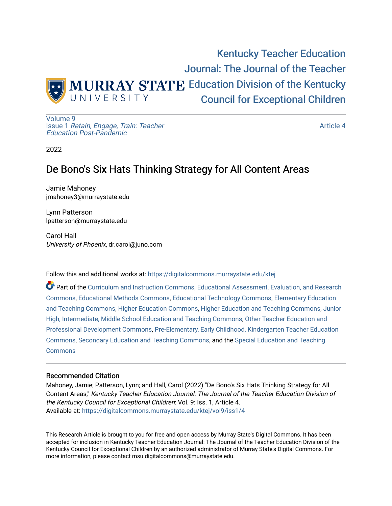

[Volume 9](https://digitalcommons.murraystate.edu/ktej/vol9) Issue 1 [Retain, Engage, Train: Teacher](https://digitalcommons.murraystate.edu/ktej/vol9/iss1)  [Education Post-Pandemic](https://digitalcommons.murraystate.edu/ktej/vol9/iss1) 

[Article 4](https://digitalcommons.murraystate.edu/ktej/vol9/iss1/4) 

2022

# De Bono's Six Hats Thinking Strategy for All Content Areas

Jamie Mahoney jmahoney3@murraystate.edu

Lynn Patterson lpatterson@murraystate.edu

Carol Hall University of Phoenix, dr.carol@juno.com

Follow this and additional works at: [https://digitalcommons.murraystate.edu/ktej](https://digitalcommons.murraystate.edu/ktej?utm_source=digitalcommons.murraystate.edu%2Fktej%2Fvol9%2Fiss1%2F4&utm_medium=PDF&utm_campaign=PDFCoverPages) 

Part of the [Curriculum and Instruction Commons,](https://network.bepress.com/hgg/discipline/786?utm_source=digitalcommons.murraystate.edu%2Fktej%2Fvol9%2Fiss1%2F4&utm_medium=PDF&utm_campaign=PDFCoverPages) [Educational Assessment, Evaluation, and Research](https://network.bepress.com/hgg/discipline/796?utm_source=digitalcommons.murraystate.edu%2Fktej%2Fvol9%2Fiss1%2F4&utm_medium=PDF&utm_campaign=PDFCoverPages)  [Commons](https://network.bepress.com/hgg/discipline/796?utm_source=digitalcommons.murraystate.edu%2Fktej%2Fvol9%2Fiss1%2F4&utm_medium=PDF&utm_campaign=PDFCoverPages), [Educational Methods Commons](https://network.bepress.com/hgg/discipline/1227?utm_source=digitalcommons.murraystate.edu%2Fktej%2Fvol9%2Fiss1%2F4&utm_medium=PDF&utm_campaign=PDFCoverPages), [Educational Technology Commons](https://network.bepress.com/hgg/discipline/1415?utm_source=digitalcommons.murraystate.edu%2Fktej%2Fvol9%2Fiss1%2F4&utm_medium=PDF&utm_campaign=PDFCoverPages), [Elementary Education](https://network.bepress.com/hgg/discipline/805?utm_source=digitalcommons.murraystate.edu%2Fktej%2Fvol9%2Fiss1%2F4&utm_medium=PDF&utm_campaign=PDFCoverPages) [and Teaching Commons](https://network.bepress.com/hgg/discipline/805?utm_source=digitalcommons.murraystate.edu%2Fktej%2Fvol9%2Fiss1%2F4&utm_medium=PDF&utm_campaign=PDFCoverPages), [Higher Education Commons](https://network.bepress.com/hgg/discipline/1245?utm_source=digitalcommons.murraystate.edu%2Fktej%2Fvol9%2Fiss1%2F4&utm_medium=PDF&utm_campaign=PDFCoverPages), [Higher Education and Teaching Commons,](https://network.bepress.com/hgg/discipline/806?utm_source=digitalcommons.murraystate.edu%2Fktej%2Fvol9%2Fiss1%2F4&utm_medium=PDF&utm_campaign=PDFCoverPages) [Junior](https://network.bepress.com/hgg/discipline/807?utm_source=digitalcommons.murraystate.edu%2Fktej%2Fvol9%2Fiss1%2F4&utm_medium=PDF&utm_campaign=PDFCoverPages) [High, Intermediate, Middle School Education and Teaching Commons](https://network.bepress.com/hgg/discipline/807?utm_source=digitalcommons.murraystate.edu%2Fktej%2Fvol9%2Fiss1%2F4&utm_medium=PDF&utm_campaign=PDFCoverPages), [Other Teacher Education and](https://network.bepress.com/hgg/discipline/810?utm_source=digitalcommons.murraystate.edu%2Fktej%2Fvol9%2Fiss1%2F4&utm_medium=PDF&utm_campaign=PDFCoverPages) [Professional Development Commons](https://network.bepress.com/hgg/discipline/810?utm_source=digitalcommons.murraystate.edu%2Fktej%2Fvol9%2Fiss1%2F4&utm_medium=PDF&utm_campaign=PDFCoverPages), [Pre-Elementary, Early Childhood, Kindergarten Teacher Education](https://network.bepress.com/hgg/discipline/808?utm_source=digitalcommons.murraystate.edu%2Fktej%2Fvol9%2Fiss1%2F4&utm_medium=PDF&utm_campaign=PDFCoverPages)  [Commons](https://network.bepress.com/hgg/discipline/808?utm_source=digitalcommons.murraystate.edu%2Fktej%2Fvol9%2Fiss1%2F4&utm_medium=PDF&utm_campaign=PDFCoverPages), [Secondary Education and Teaching Commons,](https://network.bepress.com/hgg/discipline/809?utm_source=digitalcommons.murraystate.edu%2Fktej%2Fvol9%2Fiss1%2F4&utm_medium=PDF&utm_campaign=PDFCoverPages) and the [Special Education and Teaching](https://network.bepress.com/hgg/discipline/801?utm_source=digitalcommons.murraystate.edu%2Fktej%2Fvol9%2Fiss1%2F4&utm_medium=PDF&utm_campaign=PDFCoverPages) **[Commons](https://network.bepress.com/hgg/discipline/801?utm_source=digitalcommons.murraystate.edu%2Fktej%2Fvol9%2Fiss1%2F4&utm_medium=PDF&utm_campaign=PDFCoverPages)** 

#### Recommended Citation

Mahoney, Jamie; Patterson, Lynn; and Hall, Carol (2022) "De Bono's Six Hats Thinking Strategy for All Content Areas," Kentucky Teacher Education Journal: The Journal of the Teacher Education Division of the Kentucky Council for Exceptional Children: Vol. 9: Iss. 1, Article 4. Available at: [https://digitalcommons.murraystate.edu/ktej/vol9/iss1/4](https://digitalcommons.murraystate.edu/ktej/vol9/iss1/4?utm_source=digitalcommons.murraystate.edu%2Fktej%2Fvol9%2Fiss1%2F4&utm_medium=PDF&utm_campaign=PDFCoverPages) 

This Research Article is brought to you for free and open access by Murray State's Digital Commons. It has been accepted for inclusion in Kentucky Teacher Education Journal: The Journal of the Teacher Education Division of the Kentucky Council for Exceptional Children by an authorized administrator of Murray State's Digital Commons. For more information, please contact msu.digitalcommons@murraystate.edu.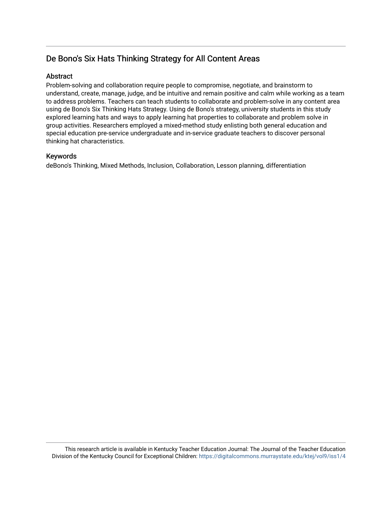# De Bono's Six Hats Thinking Strategy for All Content Areas

## **Abstract**

Problem-solving and collaboration require people to compromise, negotiate, and brainstorm to understand, create, manage, judge, and be intuitive and remain positive and calm while working as a team to address problems. Teachers can teach students to collaborate and problem-solve in any content area using de Bono's Six Thinking Hats Strategy. Using de Bono's strategy, university students in this study explored learning hats and ways to apply learning hat properties to collaborate and problem solve in group activities. Researchers employed a mixed-method study enlisting both general education and special education pre-service undergraduate and in-service graduate teachers to discover personal thinking hat characteristics.

### Keywords

deBono's Thinking, Mixed Methods, Inclusion, Collaboration, Lesson planning, differentiation

This research article is available in Kentucky Teacher Education Journal: The Journal of the Teacher Education Division of the Kentucky Council for Exceptional Children: <https://digitalcommons.murraystate.edu/ktej/vol9/iss1/4>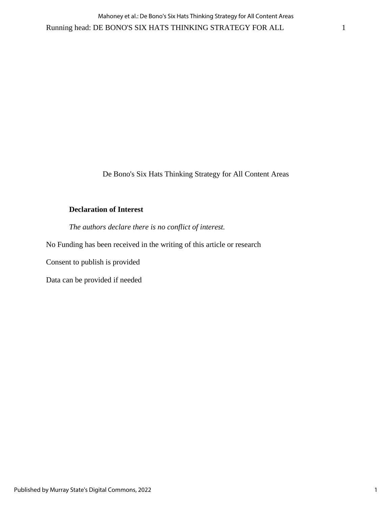De Bono's Six Hats Thinking Strategy for All Content Areas

## **Declaration of Interest**

*The authors declare there is no conflict of interest.*

No Funding has been received in the writing of this article or research

Consent to publish is provided

Data can be provided if needed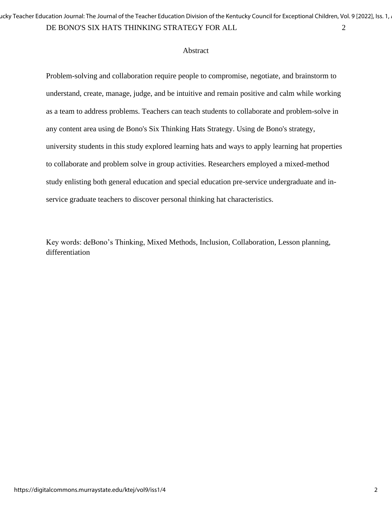DE BONO'S SIX HATS THINKING STRATEGY FOR ALL 2 ucky Teacher Education Journal: The Journal of the Teacher Education Division of the Kentucky Council for Exceptional Children, Vol. 9 [2022], Iss. 1,

#### Abstract

Problem-solving and collaboration require people to compromise, negotiate, and brainstorm to understand, create, manage, judge, and be intuitive and remain positive and calm while working as a team to address problems. Teachers can teach students to collaborate and problem-solve in any content area using de Bono's Six Thinking Hats Strategy. Using de Bono's strategy, university students in this study explored learning hats and ways to apply learning hat properties to collaborate and problem solve in group activities. Researchers employed a mixed-method study enlisting both general education and special education pre-service undergraduate and inservice graduate teachers to discover personal thinking hat characteristics.

Key words: deBono's Thinking, Mixed Methods, Inclusion, Collaboration, Lesson planning, differentiation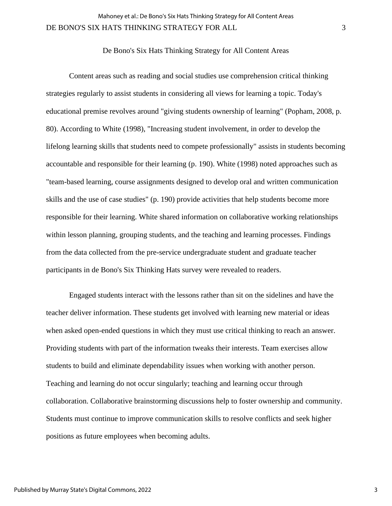De Bono's Six Hats Thinking Strategy for All Content Areas

Content areas such as reading and social studies use comprehension critical thinking strategies regularly to assist students in considering all views for learning a topic. Today's educational premise revolves around "giving students ownership of learning" (Popham, 2008, p. 80). According to White (1998), "Increasing student involvement, in order to develop the lifelong learning skills that students need to compete professionally" assists in students becoming accountable and responsible for their learning (p. 190). White (1998) noted approaches such as "team-based learning, course assignments designed to develop oral and written communication skills and the use of case studies" (p. 190) provide activities that help students become more responsible for their learning. White shared information on collaborative working relationships within lesson planning, grouping students, and the teaching and learning processes. Findings from the data collected from the pre-service undergraduate student and graduate teacher participants in de Bono's Six Thinking Hats survey were revealed to readers.

Engaged students interact with the lessons rather than sit on the sidelines and have the teacher deliver information. These students get involved with learning new material or ideas when asked open-ended questions in which they must use critical thinking to reach an answer. Providing students with part of the information tweaks their interests. Team exercises allow students to build and eliminate dependability issues when working with another person. Teaching and learning do not occur singularly; teaching and learning occur through collaboration. Collaborative brainstorming discussions help to foster ownership and community. Students must continue to improve communication skills to resolve conflicts and seek higher positions as future employees when becoming adults.

3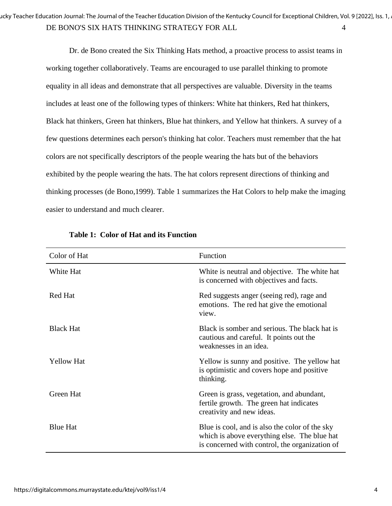Dr. de Bono created the Six Thinking Hats method, a proactive process to assist teams in working together collaboratively. Teams are encouraged to use parallel thinking to promote equality in all ideas and demonstrate that all perspectives are valuable. Diversity in the teams includes at least one of the following types of thinkers: White hat thinkers, Red hat thinkers, Black hat thinkers, Green hat thinkers, Blue hat thinkers, and Yellow hat thinkers. A survey of a few questions determines each person's thinking hat color. Teachers must remember that the hat colors are not specifically descriptors of the people wearing the hats but of the behaviors exhibited by the people wearing the hats. The hat colors represent directions of thinking and thinking processes (de Bono,1999). Table 1 summarizes the Hat Colors to help make the imaging easier to understand and much clearer.

| Color of Hat      | Function                                                                                                                                         |
|-------------------|--------------------------------------------------------------------------------------------------------------------------------------------------|
| White Hat         | White is neutral and objective. The white hat<br>is concerned with objectives and facts.                                                         |
| Red Hat           | Red suggests anger (seeing red), rage and<br>emotions. The red hat give the emotional<br>view.                                                   |
| <b>Black Hat</b>  | Black is somber and serious. The black hat is<br>cautious and careful. It points out the<br>weaknesses in an idea.                               |
| <b>Yellow Hat</b> | Yellow is sunny and positive. The yellow hat<br>is optimistic and covers hope and positive<br>thinking.                                          |
| Green Hat         | Green is grass, vegetation, and abundant,<br>fertile growth. The green hat indicates<br>creativity and new ideas.                                |
| <b>Blue Hat</b>   | Blue is cool, and is also the color of the sky<br>which is above everything else. The blue hat<br>is concerned with control, the organization of |

|  |  |  |  |  | <b>Table 1: Color of Hat and its Function</b> |
|--|--|--|--|--|-----------------------------------------------|
|--|--|--|--|--|-----------------------------------------------|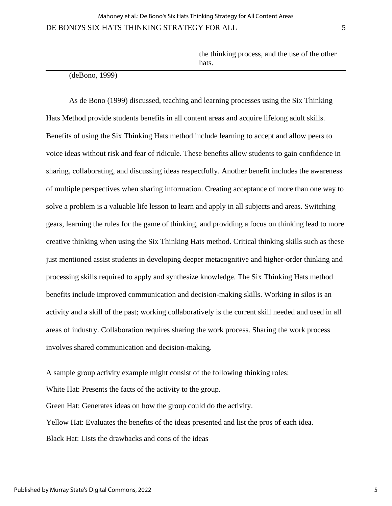#### (deBono, 1999)

As de Bono (1999) discussed, teaching and learning processes using the Six Thinking Hats Method provide students benefits in all content areas and acquire lifelong adult skills. Benefits of using the Six Thinking Hats method include learning to accept and allow peers to voice ideas without risk and fear of ridicule. These benefits allow students to gain confidence in sharing, collaborating, and discussing ideas respectfully. Another benefit includes the awareness of multiple perspectives when sharing information. Creating acceptance of more than one way to solve a problem is a valuable life lesson to learn and apply in all subjects and areas. Switching gears, learning the rules for the game of thinking, and providing a focus on thinking lead to more creative thinking when using the Six Thinking Hats method. Critical thinking skills such as these just mentioned assist students in developing deeper metacognitive and higher-order thinking and processing skills required to apply and synthesize knowledge. The Six Thinking Hats method benefits include improved communication and decision-making skills. Working in silos is an activity and a skill of the past; working collaboratively is the current skill needed and used in all areas of industry. Collaboration requires sharing the work process. Sharing the work process involves shared communication and decision-making.

A sample group activity example might consist of the following thinking roles: White Hat: Presents the facts of the activity to the group. Green Hat: Generates ideas on how the group could do the activity. Yellow Hat: Evaluates the benefits of the ideas presented and list the pros of each idea. Black Hat: Lists the drawbacks and cons of the ideas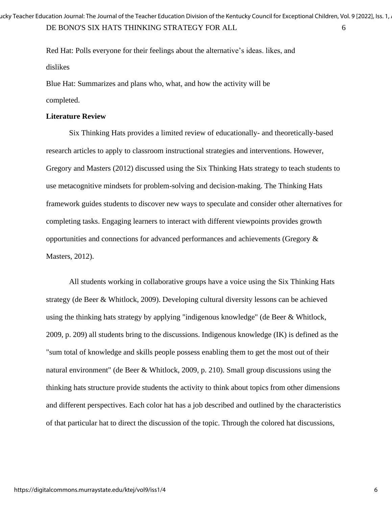Red Hat: Polls everyone for their feelings about the alternative's ideas. likes, and dislikes

Blue Hat: Summarizes and plans who, what, and how the activity will be completed.

### **Literature Review**

Six Thinking Hats provides a limited review of educationally- and theoretically-based research articles to apply to classroom instructional strategies and interventions. However, Gregory and Masters (2012) discussed using the Six Thinking Hats strategy to teach students to use metacognitive mindsets for problem-solving and decision-making. The Thinking Hats framework guides students to discover new ways to speculate and consider other alternatives for completing tasks. Engaging learners to interact with different viewpoints provides growth opportunities and connections for advanced performances and achievements (Gregory & Masters, 2012).

All students working in collaborative groups have a voice using the Six Thinking Hats strategy (de Beer & Whitlock, 2009). Developing cultural diversity lessons can be achieved using the thinking hats strategy by applying "indigenous knowledge" (de Beer & Whitlock, 2009, p. 209) all students bring to the discussions. Indigenous knowledge (IK) is defined as the "sum total of knowledge and skills people possess enabling them to get the most out of their natural environment" (de Beer & Whitlock, 2009, p. 210). Small group discussions using the thinking hats structure provide students the activity to think about topics from other dimensions and different perspectives. Each color hat has a job described and outlined by the characteristics of that particular hat to direct the discussion of the topic. Through the colored hat discussions,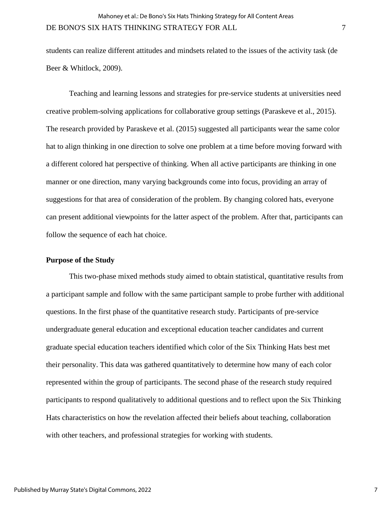students can realize different attitudes and mindsets related to the issues of the activity task (de Beer & Whitlock, 2009).

Teaching and learning lessons and strategies for pre-service students at universities need creative problem-solving applications for collaborative group settings (Paraskeve et al., 2015). The research provided by Paraskeve et al. (2015) suggested all participants wear the same color hat to align thinking in one direction to solve one problem at a time before moving forward with a different colored hat perspective of thinking. When all active participants are thinking in one manner or one direction, many varying backgrounds come into focus, providing an array of suggestions for that area of consideration of the problem. By changing colored hats, everyone can present additional viewpoints for the latter aspect of the problem. After that, participants can follow the sequence of each hat choice.

### **Purpose of the Study**

This two-phase mixed methods study aimed to obtain statistical, quantitative results from a participant sample and follow with the same participant sample to probe further with additional questions. In the first phase of the quantitative research study. Participants of pre-service undergraduate general education and exceptional education teacher candidates and current graduate special education teachers identified which color of the Six Thinking Hats best met their personality. This data was gathered quantitatively to determine how many of each color represented within the group of participants. The second phase of the research study required participants to respond qualitatively to additional questions and to reflect upon the Six Thinking Hats characteristics on how the revelation affected their beliefs about teaching, collaboration with other teachers, and professional strategies for working with students.

7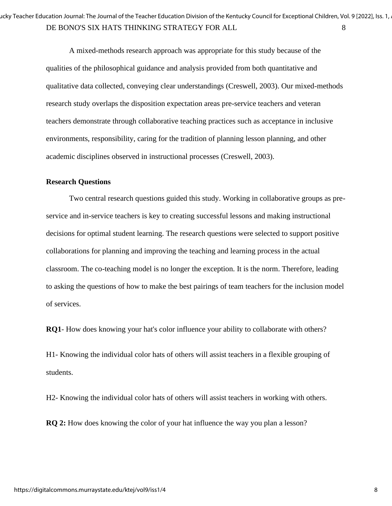A mixed-methods research approach was appropriate for this study because of the qualities of the philosophical guidance and analysis provided from both quantitative and qualitative data collected, conveying clear understandings (Creswell, 2003). Our mixed-methods research study overlaps the disposition expectation areas pre-service teachers and veteran teachers demonstrate through collaborative teaching practices such as acceptance in inclusive environments, responsibility, caring for the tradition of planning lesson planning, and other academic disciplines observed in instructional processes (Creswell, 2003).

#### **Research Questions**

Two central research questions guided this study. Working in collaborative groups as preservice and in-service teachers is key to creating successful lessons and making instructional decisions for optimal student learning. The research questions were selected to support positive collaborations for planning and improving the teaching and learning process in the actual classroom. The co-teaching model is no longer the exception. It is the norm. Therefore, leading to asking the questions of how to make the best pairings of team teachers for the inclusion model of services.

**RQ1**- How does knowing your hat's color influence your ability to collaborate with others?

H1- Knowing the individual color hats of others will assist teachers in a flexible grouping of students.

H2- Knowing the individual color hats of others will assist teachers in working with others.

**RQ 2:** How does knowing the color of your hat influence the way you plan a lesson?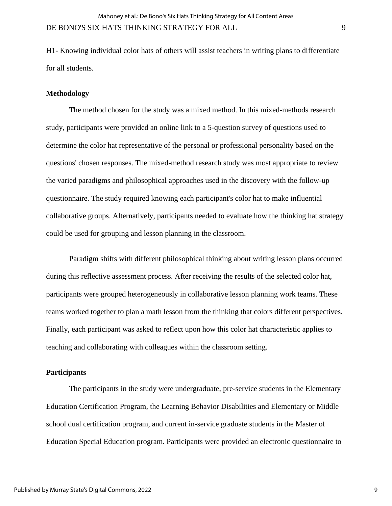H1- Knowing individual color hats of others will assist teachers in writing plans to differentiate for all students.

#### **Methodology**

The method chosen for the study was a mixed method. In this mixed-methods research study, participants were provided an online link to a 5-question survey of questions used to determine the color hat representative of the personal or professional personality based on the questions' chosen responses. The mixed-method research study was most appropriate to review the varied paradigms and philosophical approaches used in the discovery with the follow-up questionnaire. The study required knowing each participant's color hat to make influential collaborative groups. Alternatively, participants needed to evaluate how the thinking hat strategy could be used for grouping and lesson planning in the classroom.

Paradigm shifts with different philosophical thinking about writing lesson plans occurred during this reflective assessment process. After receiving the results of the selected color hat, participants were grouped heterogeneously in collaborative lesson planning work teams. These teams worked together to plan a math lesson from the thinking that colors different perspectives. Finally, each participant was asked to reflect upon how this color hat characteristic applies to teaching and collaborating with colleagues within the classroom setting.

#### **Participants**

The participants in the study were undergraduate, pre-service students in the Elementary Education Certification Program, the Learning Behavior Disabilities and Elementary or Middle school dual certification program, and current in-service graduate students in the Master of Education Special Education program. Participants were provided an electronic questionnaire to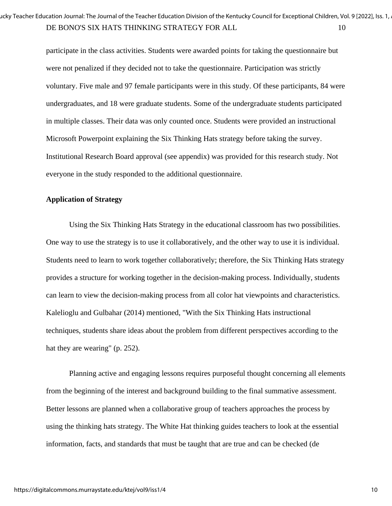participate in the class activities. Students were awarded points for taking the questionnaire but were not penalized if they decided not to take the questionnaire. Participation was strictly voluntary. Five male and 97 female participants were in this study. Of these participants, 84 were undergraduates, and 18 were graduate students. Some of the undergraduate students participated in multiple classes. Their data was only counted once. Students were provided an instructional Microsoft Powerpoint explaining the Six Thinking Hats strategy before taking the survey. Institutional Research Board approval (see appendix) was provided for this research study. Not everyone in the study responded to the additional questionnaire.

### **Application of Strategy**

Using the Six Thinking Hats Strategy in the educational classroom has two possibilities. One way to use the strategy is to use it collaboratively, and the other way to use it is individual. Students need to learn to work together collaboratively; therefore, the Six Thinking Hats strategy provides a structure for working together in the decision-making process. Individually, students can learn to view the decision-making process from all color hat viewpoints and characteristics. Kalelioglu and Gulbahar (2014) mentioned, "With the Six Thinking Hats instructional techniques, students share ideas about the problem from different perspectives according to the hat they are wearing" (p. 252).

Planning active and engaging lessons requires purposeful thought concerning all elements from the beginning of the interest and background building to the final summative assessment. Better lessons are planned when a collaborative group of teachers approaches the process by using the thinking hats strategy. The White Hat thinking guides teachers to look at the essential information, facts, and standards that must be taught that are true and can be checked (de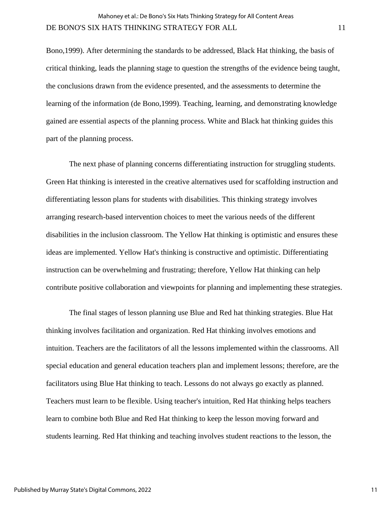Bono,1999). After determining the standards to be addressed, Black Hat thinking, the basis of critical thinking, leads the planning stage to question the strengths of the evidence being taught, the conclusions drawn from the evidence presented, and the assessments to determine the learning of the information (de Bono,1999). Teaching, learning, and demonstrating knowledge gained are essential aspects of the planning process. White and Black hat thinking guides this part of the planning process.

The next phase of planning concerns differentiating instruction for struggling students. Green Hat thinking is interested in the creative alternatives used for scaffolding instruction and differentiating lesson plans for students with disabilities. This thinking strategy involves arranging research-based intervention choices to meet the various needs of the different disabilities in the inclusion classroom. The Yellow Hat thinking is optimistic and ensures these ideas are implemented. Yellow Hat's thinking is constructive and optimistic. Differentiating instruction can be overwhelming and frustrating; therefore, Yellow Hat thinking can help contribute positive collaboration and viewpoints for planning and implementing these strategies.

The final stages of lesson planning use Blue and Red hat thinking strategies. Blue Hat thinking involves facilitation and organization. Red Hat thinking involves emotions and intuition. Teachers are the facilitators of all the lessons implemented within the classrooms. All special education and general education teachers plan and implement lessons; therefore, are the facilitators using Blue Hat thinking to teach. Lessons do not always go exactly as planned. Teachers must learn to be flexible. Using teacher's intuition, Red Hat thinking helps teachers learn to combine both Blue and Red Hat thinking to keep the lesson moving forward and students learning. Red Hat thinking and teaching involves student reactions to the lesson, the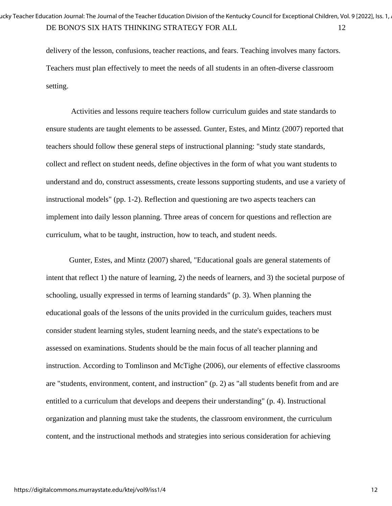delivery of the lesson, confusions, teacher reactions, and fears. Teaching involves many factors. Teachers must plan effectively to meet the needs of all students in an often-diverse classroom setting.

Activities and lessons require teachers follow curriculum guides and state standards to ensure students are taught elements to be assessed. Gunter, Estes, and Mintz (2007) reported that teachers should follow these general steps of instructional planning: "study state standards, collect and reflect on student needs, define objectives in the form of what you want students to understand and do, construct assessments, create lessons supporting students, and use a variety of instructional models" (pp. 1-2). Reflection and questioning are two aspects teachers can implement into daily lesson planning. Three areas of concern for questions and reflection are curriculum, what to be taught, instruction, how to teach, and student needs.

Gunter, Estes, and Mintz (2007) shared, "Educational goals are general statements of intent that reflect 1) the nature of learning, 2) the needs of learners, and 3) the societal purpose of schooling, usually expressed in terms of learning standards" (p. 3). When planning the educational goals of the lessons of the units provided in the curriculum guides, teachers must consider student learning styles, student learning needs, and the state's expectations to be assessed on examinations. Students should be the main focus of all teacher planning and instruction. According to Tomlinson and McTighe (2006), our elements of effective classrooms are "students, environment, content, and instruction" (p. 2) as "all students benefit from and are entitled to a curriculum that develops and deepens their understanding" (p. 4). Instructional organization and planning must take the students, the classroom environment, the curriculum content, and the instructional methods and strategies into serious consideration for achieving

12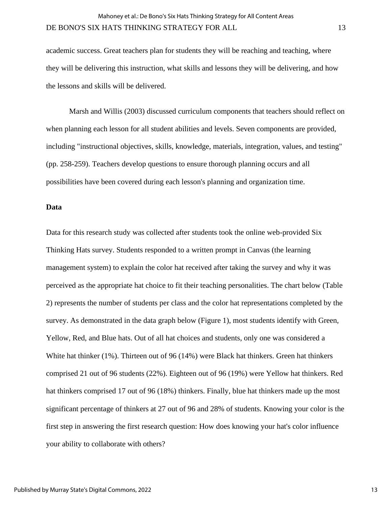academic success. Great teachers plan for students they will be reaching and teaching, where they will be delivering this instruction, what skills and lessons they will be delivering, and how the lessons and skills will be delivered.

Marsh and Willis (2003) discussed curriculum components that teachers should reflect on when planning each lesson for all student abilities and levels. Seven components are provided, including "instructional objectives, skills, knowledge, materials, integration, values, and testing" (pp. 258-259). Teachers develop questions to ensure thorough planning occurs and all possibilities have been covered during each lesson's planning and organization time.

#### **Data**

Data for this research study was collected after students took the online web-provided Six Thinking Hats survey. Students responded to a written prompt in Canvas (the learning management system) to explain the color hat received after taking the survey and why it was perceived as the appropriate hat choice to fit their teaching personalities. The chart below (Table 2) represents the number of students per class and the color hat representations completed by the survey. As demonstrated in the data graph below (Figure 1), most students identify with Green, Yellow, Red, and Blue hats. Out of all hat choices and students, only one was considered a White hat thinker (1%). Thirteen out of 96 (14%) were Black hat thinkers. Green hat thinkers comprised 21 out of 96 students (22%). Eighteen out of 96 (19%) were Yellow hat thinkers. Red hat thinkers comprised 17 out of 96 (18%) thinkers. Finally, blue hat thinkers made up the most significant percentage of thinkers at 27 out of 96 and 28% of students. Knowing your color is the first step in answering the first research question: How does knowing your hat's color influence your ability to collaborate with others?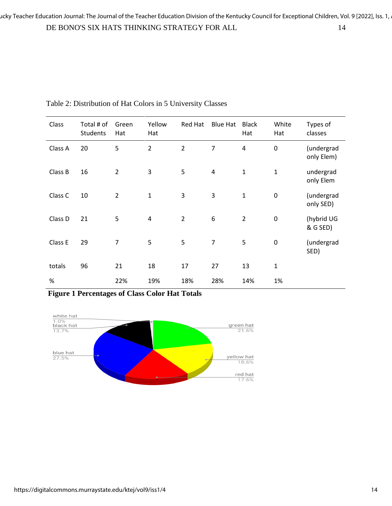| Class   | Total # of<br><b>Students</b> | Green<br>Hat   | Yellow<br>Hat  | Red Hat        | <b>Blue Hat</b> | <b>Black</b><br>Hat | White<br>Hat   | Types of<br>classes      |
|---------|-------------------------------|----------------|----------------|----------------|-----------------|---------------------|----------------|--------------------------|
| Class A | 20                            | 5              | $\overline{2}$ | $\overline{2}$ | 7               | $\overline{4}$      | 0              | (undergrad<br>only Elem) |
| Class B | 16                            | $\overline{2}$ | 3              | 5              | 4               | $\mathbf{1}$        | $\overline{1}$ | undergrad<br>only Elem   |
| Class C | 10                            | $\overline{2}$ | $\mathbf{1}$   | 3              | 3               | $\mathbf{1}$        | $\pmb{0}$      | (undergrad<br>only SED)  |
| Class D | 21                            | 5              | 4              | $\overline{2}$ | 6               | $\overline{2}$      | $\pmb{0}$      | (hybrid UG<br>& G SED)   |
| Class E | 29                            | $\overline{7}$ | 5              | 5              | $\overline{7}$  | 5                   | $\mathbf 0$    | (undergrad<br>SED)       |
| totals  | 96                            | 21             | 18             | 17             | 27              | 13                  | $\mathbf 1$    |                          |
| %       |                               | 22%            | 19%            | 18%            | 28%             | 14%                 | 1%             |                          |

Table 2: Distribution of Hat Colors in 5 University Classes

**Figure 1 Percentages of Class Color Hat Totals** 

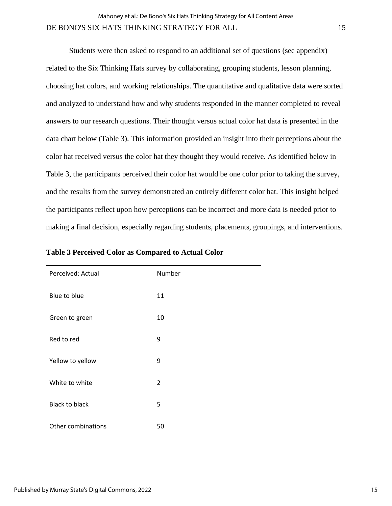Students were then asked to respond to an additional set of questions (see appendix) related to the Six Thinking Hats survey by collaborating, grouping students, lesson planning, choosing hat colors, and working relationships. The quantitative and qualitative data were sorted and analyzed to understand how and why students responded in the manner completed to reveal answers to our research questions. Their thought versus actual color hat data is presented in the data chart below (Table 3). This information provided an insight into their perceptions about the color hat received versus the color hat they thought they would receive. As identified below in Table 3, the participants perceived their color hat would be one color prior to taking the survey, and the results from the survey demonstrated an entirely different color hat. This insight helped the participants reflect upon how perceptions can be incorrect and more data is needed prior to making a final decision, especially regarding students, placements, groupings, and interventions.

| Perceived: Actual     | Number         |
|-----------------------|----------------|
| Blue to blue          | 11             |
| Green to green        | 10             |
| Red to red            | 9              |
| Yellow to yellow      | 9              |
| White to white        | $\overline{2}$ |
| <b>Black to black</b> | 5              |
| Other combinations    | 50             |

**Table 3 Perceived Color as Compared to Actual Color**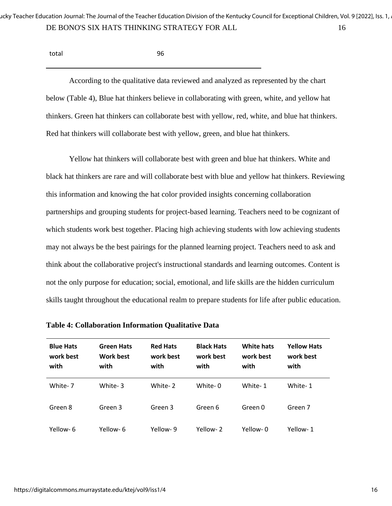| total | 96 |
|-------|----|
|       |    |

According to the qualitative data reviewed and analyzed as represented by the chart below (Table 4), Blue hat thinkers believe in collaborating with green, white, and yellow hat thinkers. Green hat thinkers can collaborate best with yellow, red, white, and blue hat thinkers. Red hat thinkers will collaborate best with yellow, green, and blue hat thinkers.

Yellow hat thinkers will collaborate best with green and blue hat thinkers. White and black hat thinkers are rare and will collaborate best with blue and yellow hat thinkers. Reviewing this information and knowing the hat color provided insights concerning collaboration partnerships and grouping students for project-based learning. Teachers need to be cognizant of which students work best together. Placing high achieving students with low achieving students may not always be the best pairings for the planned learning project. Teachers need to ask and think about the collaborative project's instructional standards and learning outcomes. Content is not the only purpose for education; social, emotional, and life skills are the hidden curriculum skills taught throughout the educational realm to prepare students for life after public education.

| <b>Blue Hats</b><br>work best<br>with | <b>Green Hats</b><br><b>Work best</b><br>with | <b>Red Hats</b><br>work best<br>with | <b>Black Hats</b><br>work best<br>with | <b>White hats</b><br>work best<br>with | <b>Yellow Hats</b><br>work best<br>with |
|---------------------------------------|-----------------------------------------------|--------------------------------------|----------------------------------------|----------------------------------------|-----------------------------------------|
| White- 7                              | White-3                                       | White-2                              | White- 0                               | White-1                                | White-1                                 |
| Green 8                               | Green 3                                       | Green 3                              | Green 6                                | Green 0                                | Green 7                                 |
| Yellow-6                              | Yellow- 6                                     | Yellow-9                             | Yellow-2                               | Yellow-0                               | Yellow-1                                |

**Table 4: Collaboration Information Qualitative Data**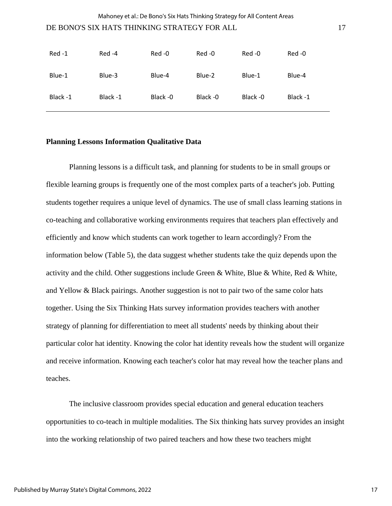#### DE BONO'S SIX HATS THINKING STRATEGY FOR ALL 17

| Red-1   | Red-4    | Red -0   | Red -0   | Red -0   | Red-0    |
|---------|----------|----------|----------|----------|----------|
| Blue-1  | Blue-3   | Blue-4   | Blue-2   | Blue-1   | Blue-4   |
| Black-1 | Black -1 | Black -0 | Black -0 | Black -0 | Black -1 |

#### **Planning Lessons Information Qualitative Data**

Planning lessons is a difficult task, and planning for students to be in small groups or flexible learning groups is frequently one of the most complex parts of a teacher's job. Putting students together requires a unique level of dynamics. The use of small class learning stations in co-teaching and collaborative working environments requires that teachers plan effectively and efficiently and know which students can work together to learn accordingly? From the information below (Table 5), the data suggest whether students take the quiz depends upon the activity and the child. Other suggestions include Green & White, Blue & White, Red & White, and Yellow & Black pairings. Another suggestion is not to pair two of the same color hats together. Using the Six Thinking Hats survey information provides teachers with another strategy of planning for differentiation to meet all students' needs by thinking about their particular color hat identity. Knowing the color hat identity reveals how the student will organize and receive information. Knowing each teacher's color hat may reveal how the teacher plans and teaches.

The inclusive classroom provides special education and general education teachers opportunities to co-teach in multiple modalities. The Six thinking hats survey provides an insight into the working relationship of two paired teachers and how these two teachers might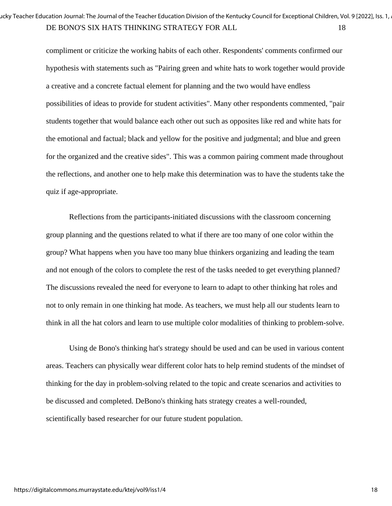compliment or criticize the working habits of each other. Respondents' comments confirmed our hypothesis with statements such as "Pairing green and white hats to work together would provide a creative and a concrete factual element for planning and the two would have endless possibilities of ideas to provide for student activities". Many other respondents commented, "pair students together that would balance each other out such as opposites like red and white hats for the emotional and factual; black and yellow for the positive and judgmental; and blue and green for the organized and the creative sides". This was a common pairing comment made throughout the reflections, and another one to help make this determination was to have the students take the quiz if age-appropriate.

Reflections from the participants-initiated discussions with the classroom concerning group planning and the questions related to what if there are too many of one color within the group? What happens when you have too many blue thinkers organizing and leading the team and not enough of the colors to complete the rest of the tasks needed to get everything planned? The discussions revealed the need for everyone to learn to adapt to other thinking hat roles and not to only remain in one thinking hat mode. As teachers, we must help all our students learn to think in all the hat colors and learn to use multiple color modalities of thinking to problem-solve.

Using de Bono's thinking hat's strategy should be used and can be used in various content areas. Teachers can physically wear different color hats to help remind students of the mindset of thinking for the day in problem-solving related to the topic and create scenarios and activities to be discussed and completed. DeBono's thinking hats strategy creates a well-rounded, scientifically based researcher for our future student population.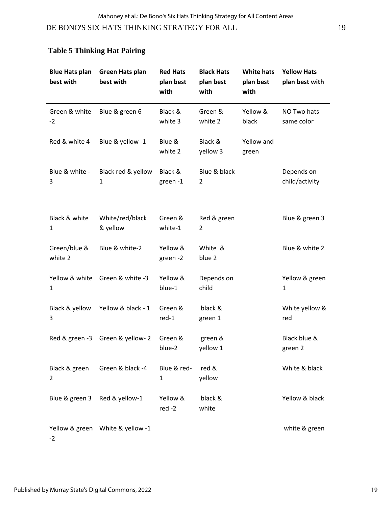DE BONO'S SIX HATS THINKING STRATEGY FOR ALL 19

# **Table 5 Thinking Hat Pairing**

| <b>Blue Hats plan</b><br>best with | Green Hats plan<br>best with     | <b>Red Hats</b><br>plan best<br>with | <b>Black Hats</b><br>plan best<br>with | <b>White hats</b><br>plan best<br>with | <b>Yellow Hats</b><br>plan best with |
|------------------------------------|----------------------------------|--------------------------------------|----------------------------------------|----------------------------------------|--------------------------------------|
| Green & white<br>$-2$              | Blue & green 6                   | Black &<br>white 3                   | Green &<br>white 2                     | Yellow &<br>black                      | NO Two hats<br>same color            |
| Red & white 4                      | Blue & yellow -1                 | Blue &<br>white 2                    | Black &<br>yellow 3                    | Yellow and<br>green                    |                                      |
| Blue & white -<br>3                | Black red & yellow<br>1          | Black &<br>green-1                   | Blue & black<br>2                      |                                        | Depends on<br>child/activity         |
| Black & white<br>1                 | White/red/black<br>& yellow      | Green &<br>white-1                   | Red & green<br>2                       |                                        | Blue & green 3                       |
| Green/blue &<br>white 2            | Blue & white-2                   | Yellow &<br>green -2                 | White &<br>blue 2                      |                                        | Blue & white 2                       |
| Yellow & white<br>1                | Green & white -3                 | Yellow &<br>blue-1                   | Depends on<br>child                    |                                        | Yellow & green<br>$\mathbf{1}$       |
| Black & yellow<br>3                | Yellow & black - 1               | Green &<br>$red-1$                   | black &<br>green 1                     |                                        | White yellow &<br>red                |
| Red & green -3                     | Green & yellow-2                 | Green &<br>blue-2                    | green &<br>yellow 1                    |                                        | Black blue &<br>green 2              |
| Black & green<br>2                 | Green & black -4                 | Blue & red-<br>$\mathbf{1}$          | red &<br>yellow                        |                                        | White & black                        |
| Blue & green 3                     | Red & yellow-1                   | Yellow &<br>$red -2$                 | black &<br>white                       |                                        | Yellow & black                       |
| $-2$                               | Yellow & green White & yellow -1 |                                      |                                        |                                        | white & green                        |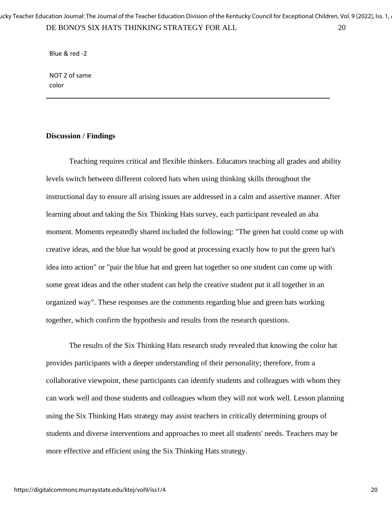DE BONO'S SIX HATS THINKING STRATEGY FOR ALL 20 ucky Teacher Education Journal: The Journal of the Teacher Education Division of the Kentucky Council for Exceptional Children, Vol. 9 [2022], Iss. 1, .

Blue & red -2

NOT 2 of same color

#### **Discussion / Findings**

Teaching requires critical and flexible thinkers. Educators teaching all grades and ability levels switch between different colored hats when using thinking skills throughout the instructional day to ensure all arising issues are addressed in a calm and assertive manner. After learning about and taking the Six Thinking Hats survey, each participant revealed an aha moment. Moments repeatedly shared included the following: "The green hat could come up with creative ideas, and the blue hat would be good at processing exactly how to put the green hat's idea into action" or "pair the blue hat and green hat together so one student can come up with some great ideas and the other student can help the creative student put it all together in an organized way". These responses are the comments regarding blue and green hats working together, which confirm the hypothesis and results from the research questions.

The results of the Six Thinking Hats research study revealed that knowing the color hat provides participants with a deeper understanding of their personality; therefore, from a collaborative viewpoint, these participants can identify students and colleagues with whom they can work well and those students and colleagues whom they will not work well. Lesson planning using the Six Thinking Hats strategy may assist teachers in critically determining groups of students and diverse interventions and approaches to meet all students' needs. Teachers may be more effective and efficient using the Six Thinking Hats strategy.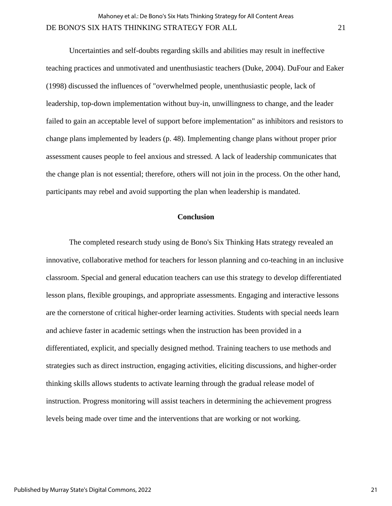Uncertainties and self-doubts regarding skills and abilities may result in ineffective teaching practices and unmotivated and unenthusiastic teachers (Duke, 2004). DuFour and Eaker (1998) discussed the influences of "overwhelmed people, unenthusiastic people, lack of leadership, top-down implementation without buy-in, unwillingness to change, and the leader failed to gain an acceptable level of support before implementation" as inhibitors and resistors to change plans implemented by leaders (p. 48). Implementing change plans without proper prior assessment causes people to feel anxious and stressed. A lack of leadership communicates that the change plan is not essential; therefore, others will not join in the process. On the other hand, participants may rebel and avoid supporting the plan when leadership is mandated.

#### **Conclusion**

The completed research study using de Bono's Six Thinking Hats strategy revealed an innovative, collaborative method for teachers for lesson planning and co-teaching in an inclusive classroom. Special and general education teachers can use this strategy to develop differentiated lesson plans, flexible groupings, and appropriate assessments. Engaging and interactive lessons are the cornerstone of critical higher-order learning activities. Students with special needs learn and achieve faster in academic settings when the instruction has been provided in a differentiated, explicit, and specially designed method. Training teachers to use methods and strategies such as direct instruction, engaging activities, eliciting discussions, and higher-order thinking skills allows students to activate learning through the gradual release model of instruction. Progress monitoring will assist teachers in determining the achievement progress levels being made over time and the interventions that are working or not working.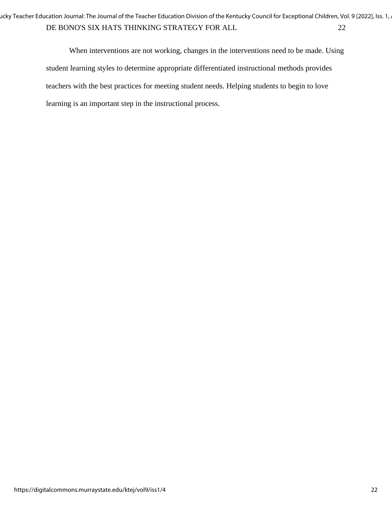DE BONO'S SIX HATS THINKING STRATEGY FOR ALL 22 ucky Teacher Education Journal: The Journal of the Teacher Education Division of the Kentucky Council for Exceptional Children, Vol. 9 [2022], Iss. 1, .

> When interventions are not working, changes in the interventions need to be made. Using student learning styles to determine appropriate differentiated instructional methods provides teachers with the best practices for meeting student needs. Helping students to begin to love learning is an important step in the instructional process.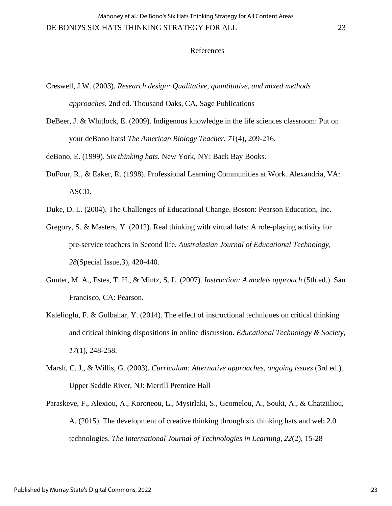#### References

- Creswell, J.W. (2003). *Research design: Qualitative, quantitative, and mixed methods approaches*. 2nd ed. Thousand Oaks, CA, Sage Publications
- DeBeer, J. & Whitlock, E. (2009). Indigenous knowledge in the life sciences classroom: Put on your deBono hats! *The American Biology Teacher, 71*(4), 209-216.

deBono, E. (1999). *Six thinking hats.* New York, NY: Back Bay Books.

- DuFour, R., & Eaker, R. (1998). Professional Learning Communities at Work. Alexandria, VA: ASCD.
- Duke, D. L. (2004). The Challenges of Educational Change. Boston: Pearson Education, Inc.
- Gregory, S. & Masters, Y. (2012). Real thinking with virtual hats: A role-playing activity for pre-service teachers in Second life. *Australasian Journal of Educational Technology, 28*(Special Issue,3), 420-440.
- Gunter, M. A., Estes, T. H., & Mintz, S. L. (2007). *Instruction: A models approach* (5th ed.). San Francisco, CA: Pearson.
- Kalelioglu, F. & Gulbahar, Y. (2014). The effect of instructional techniques on critical thinking and critical thinking dispositions in online discussion. *Educational Technology & Society, 17*(1), 248-258.
- Marsh, C. J., & Willis, G. (2003). *Curriculum: Alternative approaches, ongoing issues* (3rd ed.). Upper Saddle River, NJ: Merrill Prentice Hall
- Paraskeve, F., Alexiou, A., Koroneou, L., Mysirlaki, S., Geomelou, A., Souki, A., & Chatziiliou, A. (2015). The development of creative thinking through six thinking hats and web 2.0 technologies. *The International Journal of Technologies in Learning, 22*(2), 15-28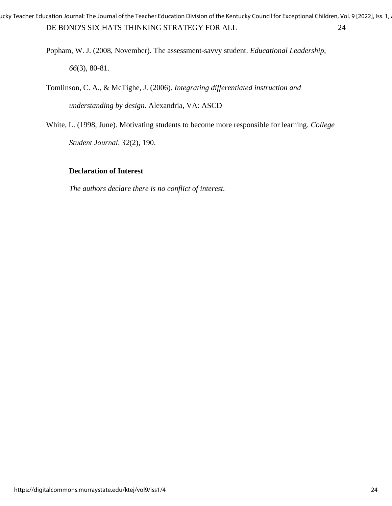DE BONO'S SIX HATS THINKING STRATEGY FOR ALL 24 ucky Teacher Education Journal: The Journal of the Teacher Education Division of the Kentucky Council for Exceptional Children, Vol. 9 [2022], Iss. 1,

> Popham, W. J. (2008, November). The assessment-savvy student. *Educational Leadership, 66*(3), 80-81.

Tomlinson, C. A., & McTighe, J. (2006). *Integrating differentiated instruction and understanding by design*. Alexandria, VA: ASCD

White, L. (1998, June). Motivating students to become more responsible for learning. *College Student Journal, 32*(2), 190.

## **Declaration of Interest**

*The authors declare there is no conflict of interest.*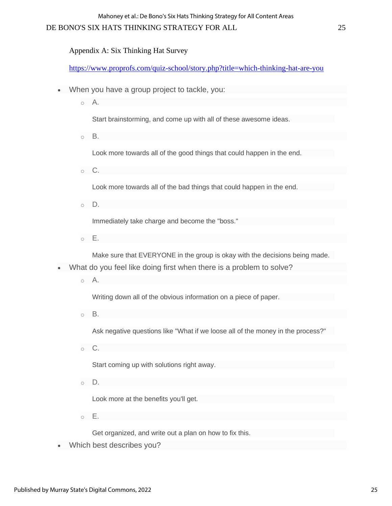## DE BONO'S SIX HATS THINKING STRATEGY FOR ALL 25

## Appendix A: Six Thinking Hat Survey

<https://www.proprofs.com/quiz-school/story.php?title=which-thinking-hat-are-you>

- When you have a group project to tackle, you:
	- o A.

Start brainstorming, and come up with all of these awesome ideas.

o B.

Look more towards all of the good things that could happen in the end.

o C.

Look more towards all of the bad things that could happen in the end.

o D.

Immediately take charge and become the "boss."

o E.

Make sure that EVERYONE in the group is okay with the decisions being made.

- What do you feel like doing first when there is a problem to solve?
	- o A.

Writing down all of the obvious information on a piece of paper.

o B.

Ask negative questions like "What if we loose all of the money in the process?"

o C.

Start coming up with solutions right away.

o D.

Look more at the benefits you'll get.

o E.

Get organized, and write out a plan on how to fix this.

• Which best describes you?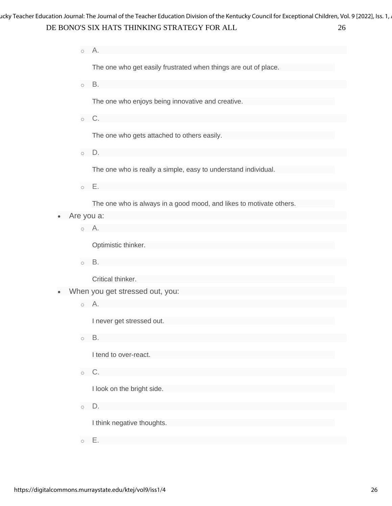DE BONO'S SIX HATS THINKING STRATEGY FOR ALL 26 ucky Teacher Education Journal: The Journal of the Teacher Education Division of the Kentucky Council for Exceptional Children, Vol. 9 [2022], Iss. 1,

o A.

The one who get easily frustrated when things are out of place.

o B.

The one who enjoys being innovative and creative.

o C.

The one who gets attached to others easily.

o D.

The one who is really a simple, easy to understand individual.

o E.

The one who is always in a good mood, and likes to motivate others.

- Are you a:
	- o A.

Optimistic thinker.

o B.

Critical thinker.

- When you get stressed out, you:
	- o A.

I never get stressed out.

o B.

I tend to over-react.

 $\circ$  C.

I look on the bright side.

o D.

I think negative thoughts.

o E.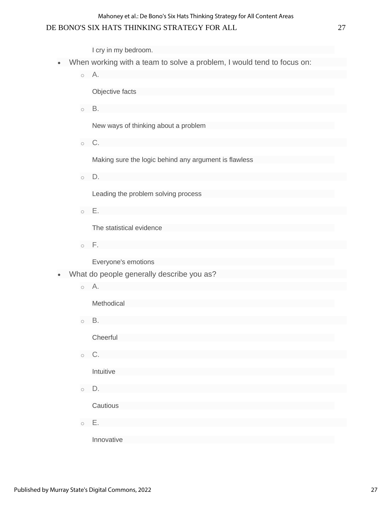## DE BONO'S SIX HATS THINKING STRATEGY FOR ALL 27

I cry in my bedroom.

- When working with a team to solve a problem, I would tend to focus on:
	- o A.

Objective facts

o B.

New ways of thinking about a problem

 $\circ$  C.

Making sure the logic behind any argument is flawless

 $\circ$  D.

Leading the problem solving process

 $\circ$  E.

The statistical evidence

o F.

Everyone's emotions

- What do people generally describe you as?
	- o A.

Methodical

o B.

**Cheerful** 

o C.

Intuitive

o D.

**Cautious** 

o E.

Innovative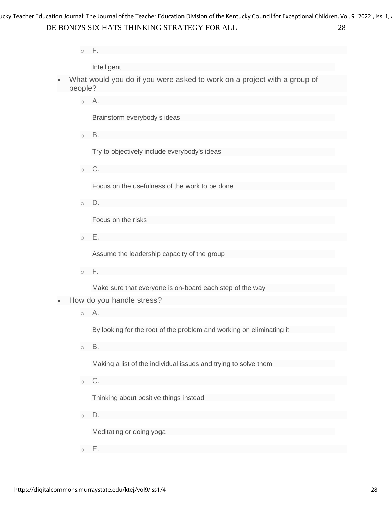DE BONO'S SIX HATS THINKING STRATEGY FOR ALL 28 ucky Teacher Education Journal: The Journal of the Teacher Education Division of the Kentucky Council for Exceptional Children, Vol. 9 [2022], Iss. 1,

 $\circ$  F.

Intelligent

- What would you do if you were asked to work on a project with a group of people?
	- o A.

Brainstorm everybody's ideas

o B.

Try to objectively include everybody's ideas

 $\circ$  C.

Focus on the usefulness of the work to be done

o D.

Focus on the risks

 $\circ$  E.

Assume the leadership capacity of the group

 $\circ$  F.

Make sure that everyone is on-board each step of the way

• How do you handle stress?

o A.

By looking for the root of the problem and working on eliminating it

o B.

Making a list of the individual issues and trying to solve them

 $\circ$  C.

Thinking about positive things instead

o D.

Meditating or doing yoga

o E.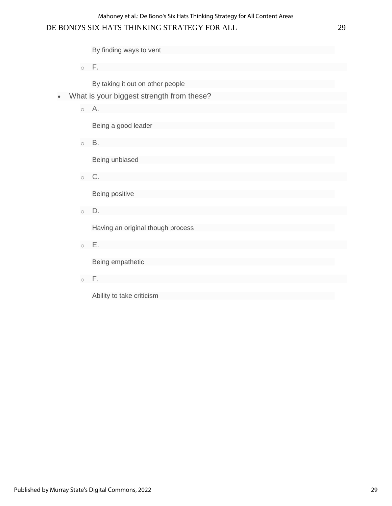## DE BONO'S SIX HATS THINKING STRATEGY FOR ALL 29

By finding ways to vent

 $\circ$  F.

By taking it out on other people

- What is your biggest strength from these?
	- o A.

Being a good leader

 $\circ$  B.

Being unbiased

o C.

Being positive

o D.

Having an original though process

o E.

Being empathetic

 $\circ$  F.

Ability to take criticism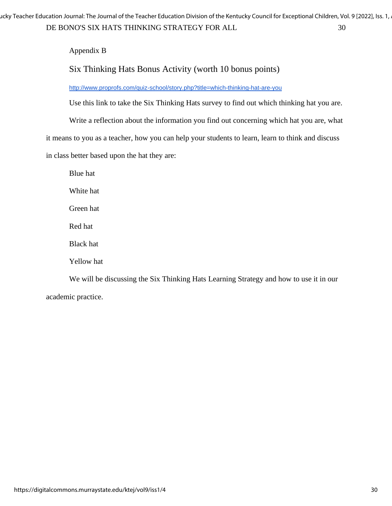DE BONO'S SIX HATS THINKING STRATEGY FOR ALL 30 ucky Teacher Education Journal: The Journal of the Teacher Education Division of the Kentucky Council for Exceptional Children, Vol. 9 [2022], Iss. 1,

Appendix B

# Six Thinking Hats Bonus Activity (worth 10 bonus points)

<http://www.proprofs.com/quiz-school/story.php?title=which-thinking-hat-are-you>

Use this link to take the Six Thinking Hats survey to find out which thinking hat you are.

Write a reflection about the information you find out concerning which hat you are, what

it means to you as a teacher, how you can help your students to learn, learn to think and discuss

in class better based upon the hat they are:

Blue hat White hat Green hat Red hat Black hat Yellow hat We will be discussing the Six Thinking Hats Learning Strategy and how to use it in our

academic practice.